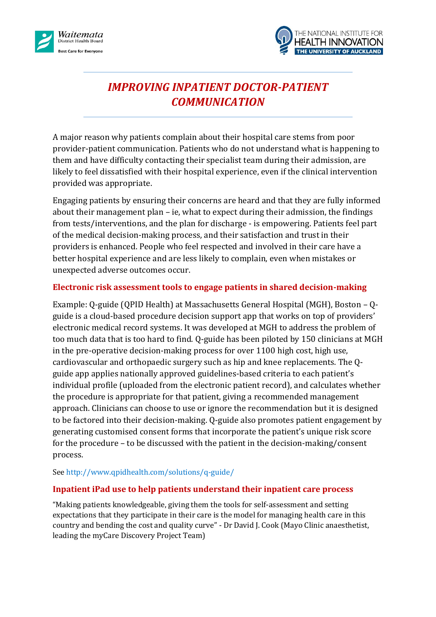



# *IMPROVING INPATIENT DOCTOR-PATIENT COMMUNICATION*

A major reason why patients complain about their hospital care stems from poor provider-patient communication. Patients who do not understand what is happening to them and have difficulty contacting their specialist team during their admission, are likely to feel dissatisfied with their hospital experience, even if the clinical intervention provided was appropriate.

Engaging patients by ensuring their concerns are heard and that they are fully informed about their management plan – ie, what to expect during their admission, the findings from tests/interventions, and the plan for discharge - is empowering. Patients feel part of the medical decision-making process, and their satisfaction and trust in their providers is enhanced. People who feel respected and involved in their care have a better hospital experience and are less likely to complain, even when mistakes or unexpected adverse outcomes occur.

## **Electronic risk assessment tools to engage patients in shared decision-making**

Example: Q-guide (QPID Health) at Massachusetts General Hospital (MGH), Boston – Qguide is a cloud-based procedure decision support app that works on top of providers' electronic medical record systems. It was developed at MGH to address the problem of too much data that is too hard to find. Q-guide has been piloted by 150 clinicians at MGH in the pre-operative decision-making process for over 1100 high cost, high use, cardiovascular and orthopaedic surgery such as hip and knee replacements. The Qguide app applies nationally approved guidelines-based criteria to each patient's individual profile (uploaded from the electronic patient record), and calculates whether the procedure is appropriate for that patient, giving a recommended management approach. Clinicians can choose to use or ignore the recommendation but it is designed to be factored into their decision-making. Q-guide also promotes patient engagement by generating customised consent forms that incorporate the patient's unique risk score for the procedure – to be discussed with the patient in the decision-making/consent process.

### Se[e http://www.qpidhealth.com/solutions/q-guide/](http://www.qpidhealth.com/solutions/q-guide/)

## **Inpatient iPad use to help patients understand their inpatient care process**

"Making patients knowledgeable, giving them the tools for self-assessment and setting expectations that they participate in their care is the model for managing health care in this country and bending the cost and quality curve" - Dr David J. Cook (Mayo Clinic anaesthetist, leading the myCare Discovery Project Team)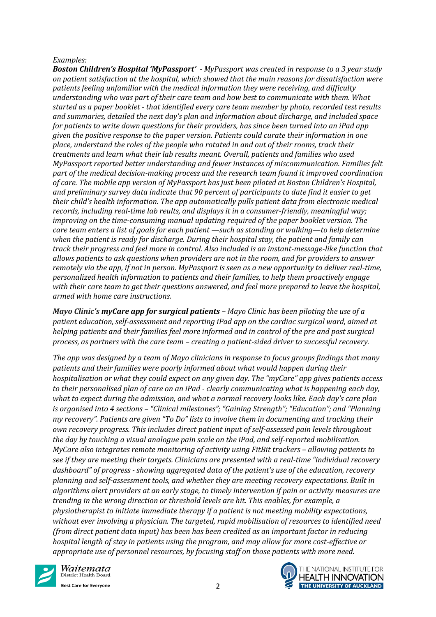#### *Examples:*

*Boston Children's Hospital 'MyPassport' - MyPassport was created in response to a 3 year study on patient satisfaction at the hospital, which showed that the main reasons for dissatisfaction were patients feeling unfamiliar with the medical information they were receiving, and difficulty understanding who was part of their care team and how best to communicate with them. What started as a paper booklet - that identified every care team member by photo, recorded test results and summaries, detailed the next day's plan and information about discharge, and included space for patients to write down questions for their providers, has since been turned into an iPad app given the positive response to the paper version. Patients could curate their information in one place, understand the roles of the people who rotated in and out of their rooms, track their treatments and learn what their lab results meant. Overall, patients and families who used MyPassport reported better understanding and fewer instances of miscommunication. Families felt part of the medical decision-making process and the research team found it improved coordination of care. The mobile app version of MyPassport has just been piloted at Boston Children's Hospital, and preliminary survey data indicate that 90 percent of participants to date find it easier to get their child's health information. The app automatically pulls patient data from electronic medical records, including real-time lab reults, and displays it in a consumer-friendly, meaningful way; improving on the time-consuming manual updating required of the paper booklet version. The care team enters a list of goals for each patient —such as standing or walking—to help determine when the patient is ready for discharge. During their hospital stay, the patient and family can track their progress and feel more in control. Also included is an instant-message-like function that allows patients to ask questions when providers are not in the room, and for providers to answer remotely via the app, if not in person. MyPassport is seen as a new opportunity to deliver real-time, personalized health information to patients and their families, to help them proactively engage with their care team to get their questions answered, and feel more prepared to leave the hospital, armed with home care instructions.*

*Mayo Clinic's myCare app for surgical patients – Mayo Clinic has been piloting the use of a patient education, self-assessment and reporting iPad app on the cardiac surgical ward, aimed at helping patients and their families feel more informed and in control of the pre and post surgical process, as partners with the care team – creating a patient-sided driver to successful recovery.*

*The app was designed by a team of Mayo clinicians in response to focus groups findings that many patients and their families were poorly informed about what would happen during their hospitalisation or what they could expect on any given day. The "myCare" app gives patients access to their personalised plan of care on an iPad - clearly communicating what is happening each day, what to expect during the admission, and what a normal recovery looks like. Each day's care plan is organised into 4 sections – "Clinical milestones"; "Gaining Strength"; "Education"; and "Planning my recovery". Patients are given "To Do" lists to involve them in documenting and tracking their own recovery progress. This includes direct patient input of self-assessed pain levels throughout the day by touching a visual analogue pain scale on the iPad, and self-reported mobilisation. MyCare also integrates remote monitoring of activity using FitBit trackers – allowing patients to see if they are meeting their targets. Clinicians are presented with a real-time "individual recovery dashboard" of progress - showing aggregated data of the patient's use of the education, recovery planning and self-assessment tools, and whether they are meeting recovery expectations. Built in algorithms alert providers at an early stage, to timely intervention if pain or activity measures are trending in the wrong direction or threshold levels are hit. This enables, for example, a physiotherapist to initiate immediate therapy if a patient is not meeting mobility expectations, without ever involving a physician. The targeted, rapid mobilisation of resources to identified need (from direct patient data input) has been has been credited as an important factor in reducing hospital length of stay in patients using the program, and may allow for more cost-effective or appropriate use of personnel resources, by focusing staff on those patients with more need.*